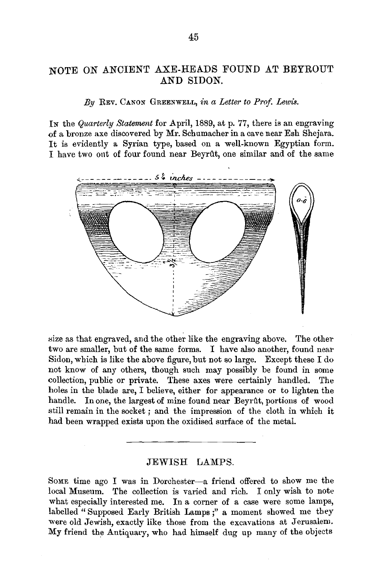## NOTE ON ANCIENT AXE-HEADS FOUND AT BEYROUT AND SIDON.

## *By* REv. CANON GREENWELL, *in a Letter to Prof. Lewis.*

IN the *Quarterly Statement* for April, 1889, at p. 77, there is an engraving of a bronze axe discovered by Mr. Schumacher in a cave near Esh Shejara. It is evidently a Syrian type, based on a well-known Egyptian form. I have two ont of four found near Beyrtlt, one similar and of the same



size as that engraved, and the other like the engraving above. The other two are smaller, but of the same forms. I have also another, found near Sidon, which is like the above figure, but not so large. Except these I do not know of any others, though such may possibly be found in some collection, public or private. These axes were certainly handled. The holes in the blade are, I believe, either for appearance or to lighten the handle. In one, the largest of mine found near Beyrût, portions of wood still remain in the socket ; and the impression of the cloth in which it had been wrapped exists upon the oxidised surface of the metal.

## JEWISH LAMPS.

SoME time ago I was in Dorchester--a friend offered to show me the local Museum. The collection is varied and rich. I only wish to note what especially interested me. In a corner of a case were some lamps, labelled "Supposed Early British Lamps;" a moment showed me they were old Jewish, exactly like those from the excavations at Jerusalem. My friend the Antiquary, who had himself dug up many of the objects